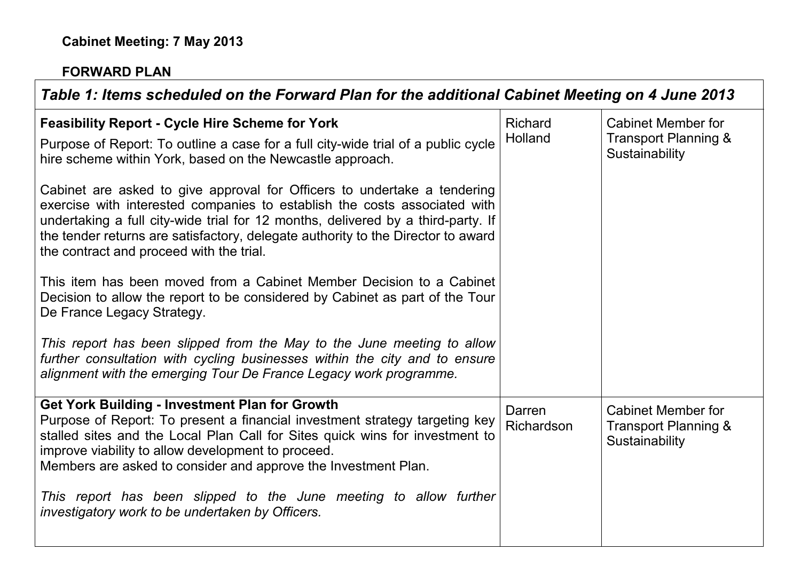## **FORWARD PLAN**

**T** 

| Table 1: Items scheduled on the Forward Plan for the additional Cabinet Meeting on 4 June 2013                                                                                                                                                                                                                                                                                                                    |                           |                                                                     |
|-------------------------------------------------------------------------------------------------------------------------------------------------------------------------------------------------------------------------------------------------------------------------------------------------------------------------------------------------------------------------------------------------------------------|---------------------------|---------------------------------------------------------------------|
| <b>Feasibility Report - Cycle Hire Scheme for York</b><br>Purpose of Report: To outline a case for a full city-wide trial of a public cycle<br>hire scheme within York, based on the Newcastle approach.                                                                                                                                                                                                          | <b>Richard</b><br>Holland | <b>Cabinet Member for</b><br>Transport Planning &<br>Sustainability |
| Cabinet are asked to give approval for Officers to undertake a tendering<br>exercise with interested companies to establish the costs associated with<br>undertaking a full city-wide trial for 12 months, delivered by a third-party. If<br>the tender returns are satisfactory, delegate authority to the Director to award<br>the contract and proceed with the trial.                                         |                           |                                                                     |
| This item has been moved from a Cabinet Member Decision to a Cabinet<br>Decision to allow the report to be considered by Cabinet as part of the Tour<br>De France Legacy Strategy.                                                                                                                                                                                                                                |                           |                                                                     |
| This report has been slipped from the May to the June meeting to allow<br>further consultation with cycling businesses within the city and to ensure<br>alignment with the emerging Tour De France Legacy work programme.                                                                                                                                                                                         |                           |                                                                     |
| <b>Get York Building - Investment Plan for Growth</b><br>Purpose of Report: To present a financial investment strategy targeting key<br>stalled sites and the Local Plan Call for Sites quick wins for investment to<br>improve viability to allow development to proceed.<br>Members are asked to consider and approve the Investment Plan.<br>This report has been slipped to the June meeting to allow further | Darren<br>Richardson      | <b>Cabinet Member for</b><br>Transport Planning &<br>Sustainability |
| investigatory work to be undertaken by Officers.                                                                                                                                                                                                                                                                                                                                                                  |                           |                                                                     |

┑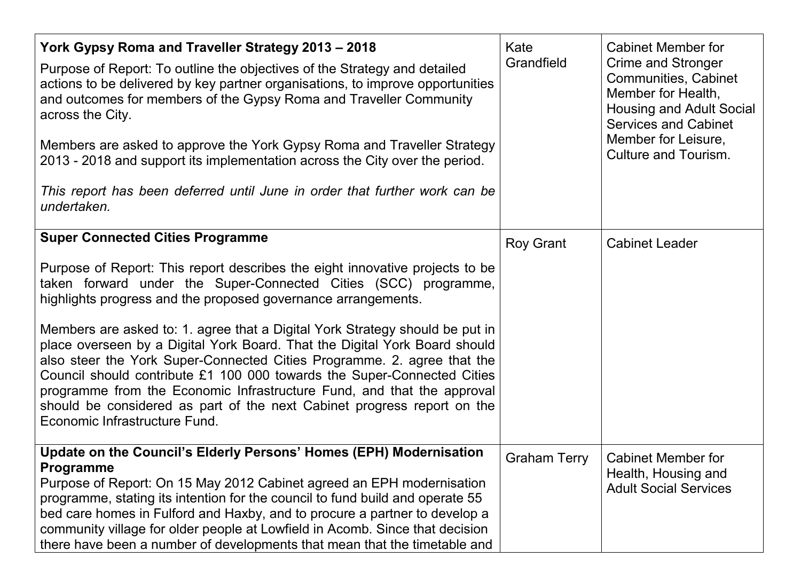| York Gypsy Roma and Traveller Strategy 2013 - 2018<br>Purpose of Report: To outline the objectives of the Strategy and detailed<br>actions to be delivered by key partner organisations, to improve opportunities<br>and outcomes for members of the Gypsy Roma and Traveller Community<br>across the City.<br>Members are asked to approve the York Gypsy Roma and Traveller Strategy<br>2013 - 2018 and support its implementation across the City over the period.<br>This report has been deferred until June in order that further work can be<br>undertaken. | Kate<br>Grandfield | <b>Cabinet Member for</b><br>Crime and Stronger<br>Communities, Cabinet<br>Member for Health,<br>Housing and Adult Social<br><b>Services and Cabinet</b><br>Member for Leisure,<br>Culture and Tourism. |
|--------------------------------------------------------------------------------------------------------------------------------------------------------------------------------------------------------------------------------------------------------------------------------------------------------------------------------------------------------------------------------------------------------------------------------------------------------------------------------------------------------------------------------------------------------------------|--------------------|---------------------------------------------------------------------------------------------------------------------------------------------------------------------------------------------------------|
| <b>Super Connected Cities Programme</b>                                                                                                                                                                                                                                                                                                                                                                                                                                                                                                                            | Roy Grant          | <b>Cabinet Leader</b>                                                                                                                                                                                   |
| Purpose of Report: This report describes the eight innovative projects to be<br>taken forward under the Super-Connected Cities (SCC) programme,<br>highlights progress and the proposed governance arrangements.                                                                                                                                                                                                                                                                                                                                                   |                    |                                                                                                                                                                                                         |
| Members are asked to: 1. agree that a Digital York Strategy should be put in<br>place overseen by a Digital York Board. That the Digital York Board should<br>also steer the York Super-Connected Cities Programme. 2. agree that the<br>Council should contribute £1 100 000 towards the Super-Connected Cities<br>programme from the Economic Infrastructure Fund, and that the approval<br>should be considered as part of the next Cabinet progress report on the<br>Economic Infrastructure Fund.                                                             |                    |                                                                                                                                                                                                         |
| Update on the Council's Elderly Persons' Homes (EPH) Modernisation<br><b>Programme</b><br>Purpose of Report: On 15 May 2012 Cabinet agreed an EPH modernisation<br>programme, stating its intention for the council to fund build and operate 55<br>bed care homes in Fulford and Haxby, and to procure a partner to develop a<br>community village for older people at Lowfield in Acomb. Since that decision<br>there have been a number of developments that mean that the timetable and                                                                        | Graham Terry       | <b>Cabinet Member for</b><br>Health, Housing and<br><b>Adult Social Services</b>                                                                                                                        |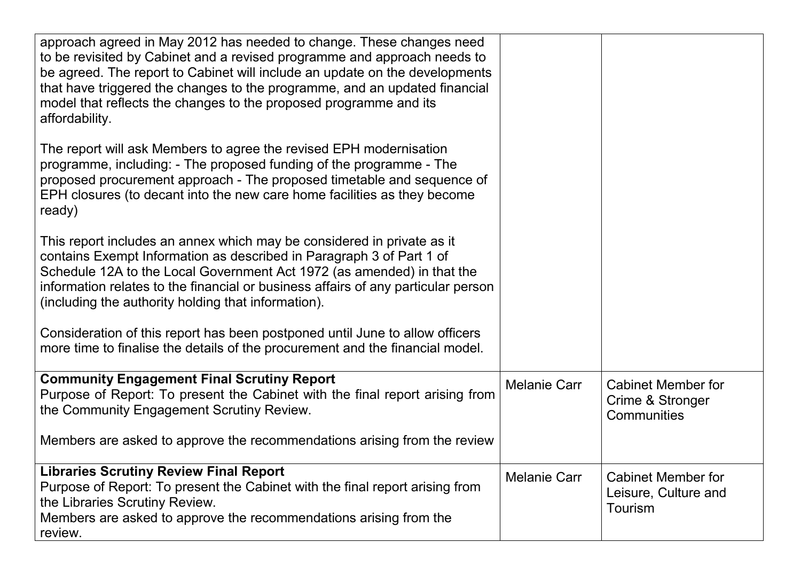| approach agreed in May 2012 has needed to change. These changes need<br>to be revisited by Cabinet and a revised programme and approach needs to<br>be agreed. The report to Cabinet will include an update on the developments<br>that have triggered the changes to the programme, and an updated financial<br>model that reflects the changes to the proposed programme and its<br>affordability. |                     |                                                              |
|------------------------------------------------------------------------------------------------------------------------------------------------------------------------------------------------------------------------------------------------------------------------------------------------------------------------------------------------------------------------------------------------------|---------------------|--------------------------------------------------------------|
| The report will ask Members to agree the revised EPH modernisation<br>programme, including: - The proposed funding of the programme - The<br>proposed procurement approach - The proposed timetable and sequence of<br>EPH closures (to decant into the new care home facilities as they become<br>ready)                                                                                            |                     |                                                              |
| This report includes an annex which may be considered in private as it<br>contains Exempt Information as described in Paragraph 3 of Part 1 of<br>Schedule 12A to the Local Government Act 1972 (as amended) in that the<br>information relates to the financial or business affairs of any particular person<br>(including the authority holding that information).                                 |                     |                                                              |
| Consideration of this report has been postponed until June to allow officers<br>more time to finalise the details of the procurement and the financial model.                                                                                                                                                                                                                                        |                     |                                                              |
| <b>Community Engagement Final Scrutiny Report</b><br>Purpose of Report: To present the Cabinet with the final report arising from<br>the Community Engagement Scrutiny Review.                                                                                                                                                                                                                       | <b>Melanie Carr</b> | <b>Cabinet Member for</b><br>Crime & Stronger<br>Communities |
| Members are asked to approve the recommendations arising from the review                                                                                                                                                                                                                                                                                                                             |                     |                                                              |
| <b>Libraries Scrutiny Review Final Report</b><br>Purpose of Report: To present the Cabinet with the final report arising from<br>the Libraries Scrutiny Review.<br>Members are asked to approve the recommendations arising from the<br>review.                                                                                                                                                      | <b>Melanie Carr</b> | <b>Cabinet Member for</b><br>Leisure, Culture and<br>Tourism |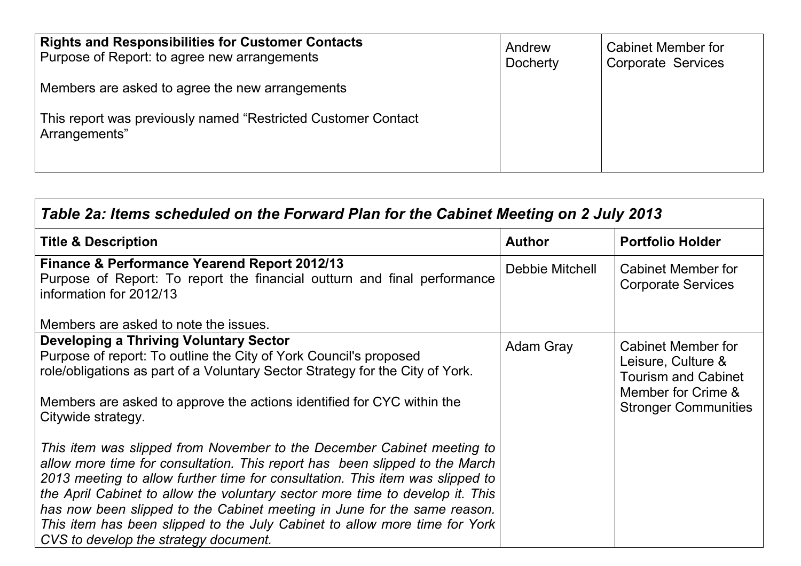| <b>Rights and Responsibilities for Customer Contacts</b><br>Purpose of Report: to agree new arrangements | Andrew<br><b>Docherty</b> | Cabinet Member for<br>Corporate Services |
|----------------------------------------------------------------------------------------------------------|---------------------------|------------------------------------------|
| Members are asked to agree the new arrangements                                                          |                           |                                          |
| This report was previously named "Restricted Customer Contact"<br>Arrangements"                          |                           |                                          |

| Table 2a: Items scheduled on the Forward Plan for the Cabinet Meeting on 2 July 2013                                                                                                                                                                                                                                                                                                                                                                                                                                       |                  |                                                                                                                             |  |  |  |  |
|----------------------------------------------------------------------------------------------------------------------------------------------------------------------------------------------------------------------------------------------------------------------------------------------------------------------------------------------------------------------------------------------------------------------------------------------------------------------------------------------------------------------------|------------------|-----------------------------------------------------------------------------------------------------------------------------|--|--|--|--|
| <b>Title &amp; Description</b>                                                                                                                                                                                                                                                                                                                                                                                                                                                                                             | <b>Author</b>    | <b>Portfolio Holder</b>                                                                                                     |  |  |  |  |
| <b>Finance &amp; Performance Yearend Report 2012/13</b><br>Purpose of Report: To report the financial outturn and final performance<br>information for 2012/13                                                                                                                                                                                                                                                                                                                                                             | Debbie Mitchell  | Cabinet Member for<br><b>Corporate Services</b>                                                                             |  |  |  |  |
| Members are asked to note the issues.                                                                                                                                                                                                                                                                                                                                                                                                                                                                                      |                  |                                                                                                                             |  |  |  |  |
| <b>Developing a Thriving Voluntary Sector</b><br>Purpose of report: To outline the City of York Council's proposed<br>role/obligations as part of a Voluntary Sector Strategy for the City of York.<br>Members are asked to approve the actions identified for CYC within the<br>Citywide strategy.                                                                                                                                                                                                                        | <b>Adam Gray</b> | Cabinet Member for<br>Leisure, Culture &<br><b>Tourism and Cabinet</b><br>Member for Crime &<br><b>Stronger Communities</b> |  |  |  |  |
| This item was slipped from November to the December Cabinet meeting to<br>allow more time for consultation. This report has been slipped to the March<br>2013 meeting to allow further time for consultation. This item was slipped to<br>the April Cabinet to allow the voluntary sector more time to develop it. This<br>has now been slipped to the Cabinet meeting in June for the same reason.<br>This item has been slipped to the July Cabinet to allow more time for York<br>CVS to develop the strategy document. |                  |                                                                                                                             |  |  |  |  |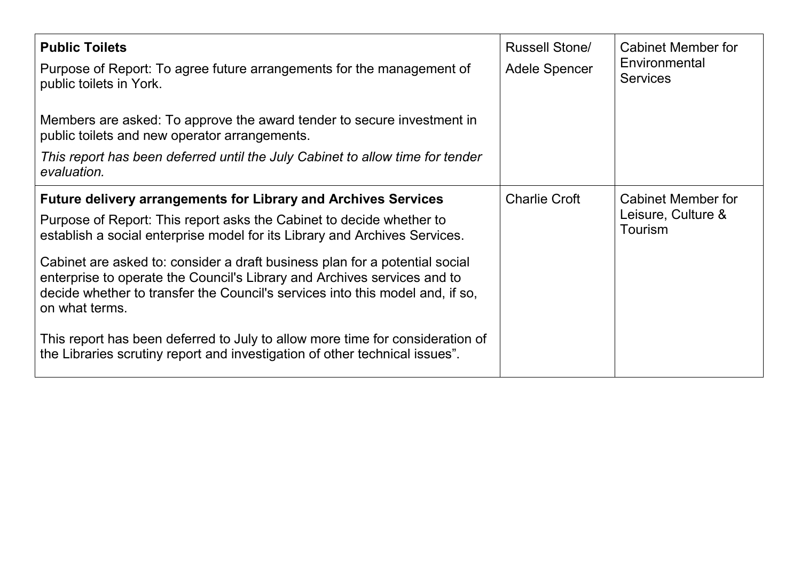| <b>Public Toilets</b><br>Purpose of Report: To agree future arrangements for the management of<br>public toilets in York.<br>Members are asked: To approve the award tender to secure investment in<br>public toilets and new operator arrangements.<br>This report has been deferred until the July Cabinet to allow time for tender<br>evaluation.                                                                                                                                                                                                                                                                                                      | <b>Russell Stone/</b><br><b>Adele Spencer</b> | Cabinet Member for<br>Environmental<br><b>Services</b> |
|-----------------------------------------------------------------------------------------------------------------------------------------------------------------------------------------------------------------------------------------------------------------------------------------------------------------------------------------------------------------------------------------------------------------------------------------------------------------------------------------------------------------------------------------------------------------------------------------------------------------------------------------------------------|-----------------------------------------------|--------------------------------------------------------|
| <b>Future delivery arrangements for Library and Archives Services</b><br>Purpose of Report: This report asks the Cabinet to decide whether to<br>establish a social enterprise model for its Library and Archives Services.<br>Cabinet are asked to: consider a draft business plan for a potential social<br>enterprise to operate the Council's Library and Archives services and to<br>decide whether to transfer the Council's services into this model and, if so,<br>on what terms.<br>This report has been deferred to July to allow more time for consideration of<br>the Libraries scrutiny report and investigation of other technical issues". | <b>Charlie Croft</b>                          | Cabinet Member for<br>Leisure, Culture &<br>Tourism    |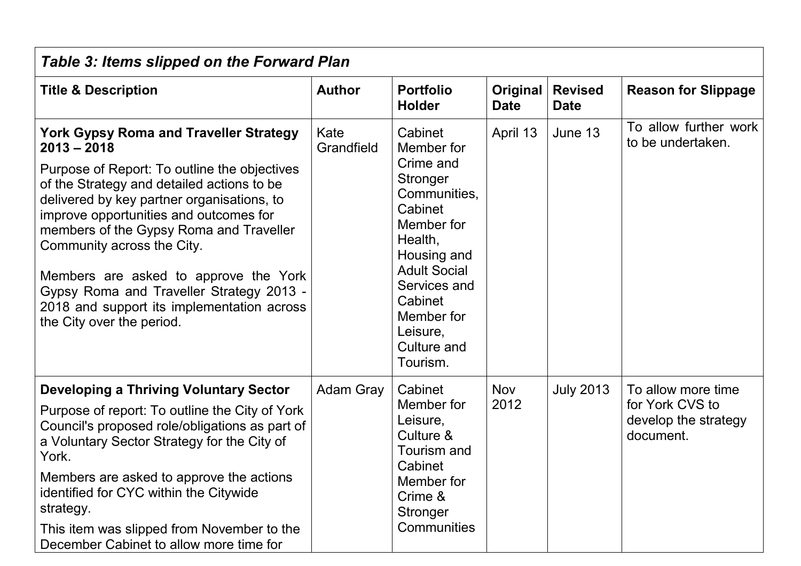| <b>Table 3: Items slipped on the Forward Plan</b>                                                                                                                                                                                                                                                                                                                                                                                                                                             |                    |                                                                                                                                                                                                                          |                         |                               |                                                                            |  |  |
|-----------------------------------------------------------------------------------------------------------------------------------------------------------------------------------------------------------------------------------------------------------------------------------------------------------------------------------------------------------------------------------------------------------------------------------------------------------------------------------------------|--------------------|--------------------------------------------------------------------------------------------------------------------------------------------------------------------------------------------------------------------------|-------------------------|-------------------------------|----------------------------------------------------------------------------|--|--|
| <b>Title &amp; Description</b>                                                                                                                                                                                                                                                                                                                                                                                                                                                                | <b>Author</b>      | <b>Portfolio</b><br><b>Holder</b>                                                                                                                                                                                        | Original<br><b>Date</b> | <b>Revised</b><br><b>Date</b> | <b>Reason for Slippage</b>                                                 |  |  |
| <b>York Gypsy Roma and Traveller Strategy</b><br>$2013 - 2018$<br>Purpose of Report: To outline the objectives<br>of the Strategy and detailed actions to be<br>delivered by key partner organisations, to<br>improve opportunities and outcomes for<br>members of the Gypsy Roma and Traveller<br>Community across the City.<br>Members are asked to approve the York<br>Gypsy Roma and Traveller Strategy 2013 -<br>2018 and support its implementation across<br>the City over the period. | Kate<br>Grandfield | Cabinet<br>Member for<br>Crime and<br>Stronger<br>Communities,<br>Cabinet<br>Member for<br>Health,<br>Housing and<br><b>Adult Social</b><br>Services and<br>Cabinet<br>Member for<br>Leisure,<br>Culture and<br>Tourism. | April 13                | June 13                       | To allow further work<br>to be undertaken.                                 |  |  |
| <b>Developing a Thriving Voluntary Sector</b><br>Purpose of report: To outline the City of York<br>Council's proposed role/obligations as part of<br>a Voluntary Sector Strategy for the City of<br>York.<br>Members are asked to approve the actions<br>identified for CYC within the Citywide<br>strategy.<br>This item was slipped from November to the<br>December Cabinet to allow more time for                                                                                         | <b>Adam Gray</b>   | Cabinet<br>Member for<br>Leisure,<br>Culture &<br>Tourism and<br>Cabinet<br>Member for<br>Crime &<br>Stronger<br><b>Communities</b>                                                                                      | <b>Nov</b><br>2012      | <b>July 2013</b>              | To allow more time<br>for York CVS to<br>develop the strategy<br>document. |  |  |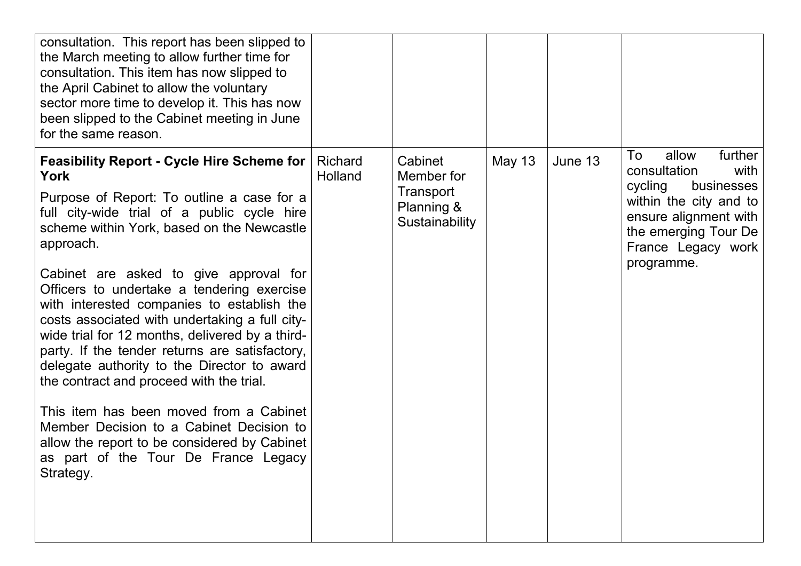| consultation. This report has been slipped to<br>the March meeting to allow further time for<br>consultation. This item has now slipped to<br>the April Cabinet to allow the voluntary<br>sector more time to develop it. This has now<br>been slipped to the Cabinet meeting in June<br>for the same reason.                                                                                                                                                                                                                                                                                                                                                                                                                                                                                                |                           |                                                                    |               |         |                                                                                                                                                                                        |
|--------------------------------------------------------------------------------------------------------------------------------------------------------------------------------------------------------------------------------------------------------------------------------------------------------------------------------------------------------------------------------------------------------------------------------------------------------------------------------------------------------------------------------------------------------------------------------------------------------------------------------------------------------------------------------------------------------------------------------------------------------------------------------------------------------------|---------------------------|--------------------------------------------------------------------|---------------|---------|----------------------------------------------------------------------------------------------------------------------------------------------------------------------------------------|
| <b>Feasibility Report - Cycle Hire Scheme for</b><br><b>York</b><br>Purpose of Report: To outline a case for a<br>full city-wide trial of a public cycle hire<br>scheme within York, based on the Newcastle<br>approach.<br>Cabinet are asked to give approval for<br>Officers to undertake a tendering exercise<br>with interested companies to establish the<br>costs associated with undertaking a full city-<br>wide trial for 12 months, delivered by a third-<br>party. If the tender returns are satisfactory,<br>delegate authority to the Director to award<br>the contract and proceed with the trial.<br>This item has been moved from a Cabinet<br>Member Decision to a Cabinet Decision to<br>allow the report to be considered by Cabinet<br>as part of the Tour De France Legacy<br>Strategy. | <b>Richard</b><br>Holland | Cabinet<br>Member for<br>Transport<br>Planning &<br>Sustainability | <b>May 13</b> | June 13 | further<br>To<br>allow<br>consultation<br>with<br>cycling<br>businesses<br>within the city and to<br>ensure alignment with<br>the emerging Tour De<br>France Legacy work<br>programme. |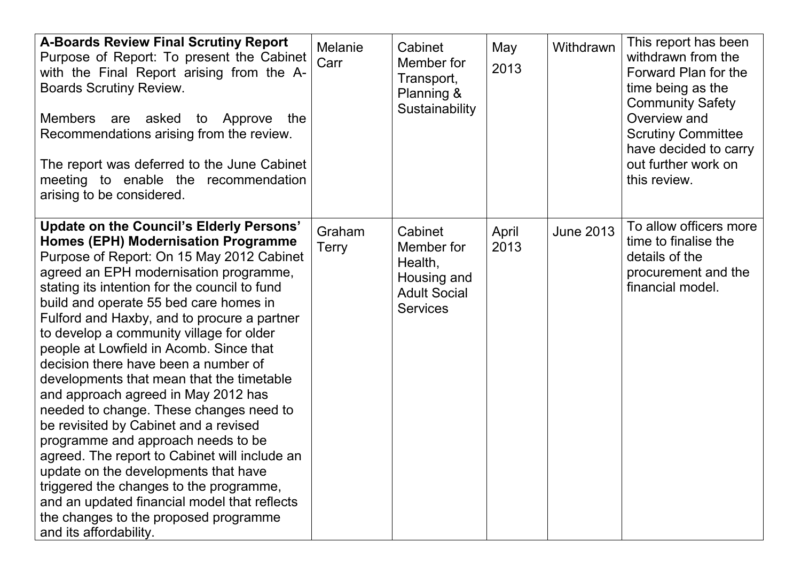| <b>A-Boards Review Final Scrutiny Report</b><br>Purpose of Report: To present the Cabinet<br>with the Final Report arising from the A-<br><b>Boards Scrutiny Review.</b><br>Members are asked<br>to Approve<br>the<br>Recommendations arising from the review.<br>The report was deferred to the June Cabinet<br>meeting to enable the recommendation<br>arising to be considered.                                                                                                                                                                                                                                                                                                                                                                                                                                                                                                                                                 | <b>Melanie</b><br>Carr | Cabinet<br>Member for<br>Transport,<br>Planning &<br>Sustainability                       | May<br>2013   | Withdrawn        | This report has been<br>withdrawn from the<br>Forward Plan for the<br>time being as the<br><b>Community Safety</b><br>Overview and<br><b>Scrutiny Committee</b><br>have decided to carry<br>out further work on<br>this review. |
|------------------------------------------------------------------------------------------------------------------------------------------------------------------------------------------------------------------------------------------------------------------------------------------------------------------------------------------------------------------------------------------------------------------------------------------------------------------------------------------------------------------------------------------------------------------------------------------------------------------------------------------------------------------------------------------------------------------------------------------------------------------------------------------------------------------------------------------------------------------------------------------------------------------------------------|------------------------|-------------------------------------------------------------------------------------------|---------------|------------------|---------------------------------------------------------------------------------------------------------------------------------------------------------------------------------------------------------------------------------|
| <b>Update on the Council's Elderly Persons'</b><br><b>Homes (EPH) Modernisation Programme</b><br>Purpose of Report: On 15 May 2012 Cabinet<br>agreed an EPH modernisation programme,<br>stating its intention for the council to fund<br>build and operate 55 bed care homes in<br>Fulford and Haxby, and to procure a partner<br>to develop a community village for older<br>people at Lowfield in Acomb. Since that<br>decision there have been a number of<br>developments that mean that the timetable<br>and approach agreed in May 2012 has<br>needed to change. These changes need to<br>be revisited by Cabinet and a revised<br>programme and approach needs to be<br>agreed. The report to Cabinet will include an<br>update on the developments that have<br>triggered the changes to the programme,<br>and an updated financial model that reflects<br>the changes to the proposed programme<br>and its affordability. | Graham<br><b>Terry</b> | Cabinet<br>Member for<br>Health,<br>Housing and<br><b>Adult Social</b><br><b>Services</b> | April<br>2013 | <b>June 2013</b> | To allow officers more<br>time to finalise the<br>details of the<br>procurement and the<br>financial model.                                                                                                                     |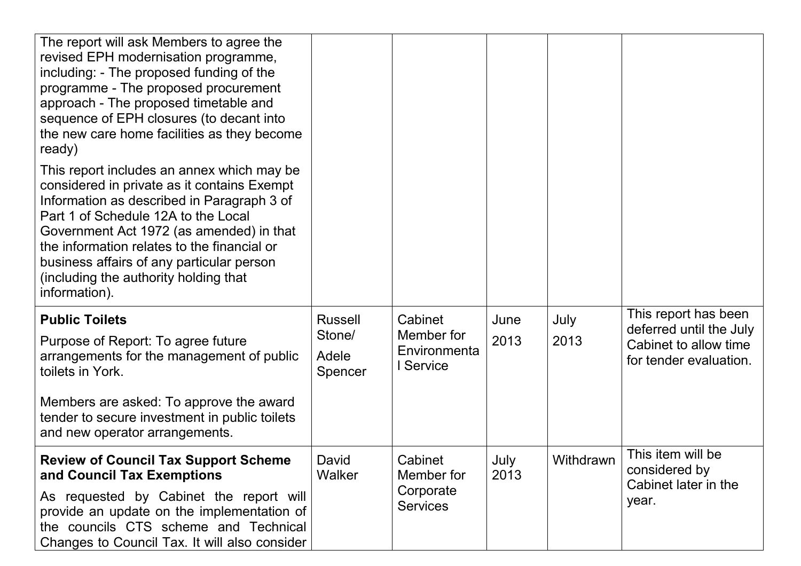| The report will ask Members to agree the<br>revised EPH modernisation programme,<br>including: - The proposed funding of the<br>programme - The proposed procurement<br>approach - The proposed timetable and<br>sequence of EPH closures (to decant into<br>the new care home facilities as they become<br>ready)                                                               |                                              |                                                       |              |              |                                                                                                    |
|----------------------------------------------------------------------------------------------------------------------------------------------------------------------------------------------------------------------------------------------------------------------------------------------------------------------------------------------------------------------------------|----------------------------------------------|-------------------------------------------------------|--------------|--------------|----------------------------------------------------------------------------------------------------|
| This report includes an annex which may be<br>considered in private as it contains Exempt<br>Information as described in Paragraph 3 of<br>Part 1 of Schedule 12A to the Local<br>Government Act 1972 (as amended) in that<br>the information relates to the financial or<br>business affairs of any particular person<br>(including the authority holding that<br>information). |                                              |                                                       |              |              |                                                                                                    |
| <b>Public Toilets</b><br>Purpose of Report: To agree future<br>arrangements for the management of public<br>toilets in York.<br>Members are asked: To approve the award<br>tender to secure investment in public toilets                                                                                                                                                         | <b>Russell</b><br>Stone/<br>Adele<br>Spencer | Cabinet<br>Member for<br>Environmenta<br>I Service    | June<br>2013 | July<br>2013 | This report has been<br>deferred until the July<br>Cabinet to allow time<br>for tender evaluation. |
| and new operator arrangements.                                                                                                                                                                                                                                                                                                                                                   |                                              |                                                       |              |              | This item will be                                                                                  |
| <b>Review of Council Tax Support Scheme</b><br>and Council Tax Exemptions<br>As requested by Cabinet the report will<br>provide an update on the implementation of<br>the councils CTS scheme and Technical<br>Changes to Council Tax. It will also consider                                                                                                                     | David<br>Walker                              | Cabinet<br>Member for<br>Corporate<br><b>Services</b> | July<br>2013 | Withdrawn    | considered by<br>Cabinet later in the<br>year.                                                     |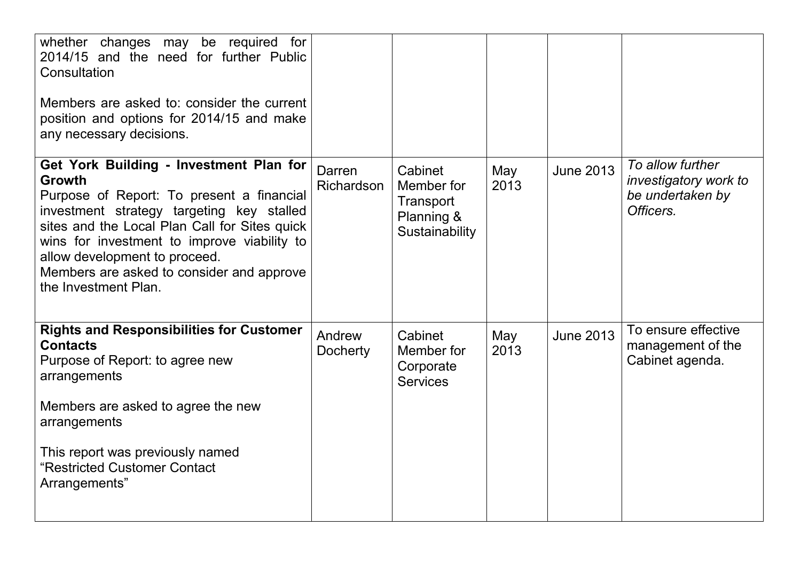| whether changes may be required for<br>2014/15 and the need for further Public<br>Consultation<br>Members are asked to: consider the current<br>position and options for 2014/15 and make<br>any necessary decisions.                                                                                                                                    |                           |                                                                    |             |                  |                                                                            |
|----------------------------------------------------------------------------------------------------------------------------------------------------------------------------------------------------------------------------------------------------------------------------------------------------------------------------------------------------------|---------------------------|--------------------------------------------------------------------|-------------|------------------|----------------------------------------------------------------------------|
| Get York Building - Investment Plan for<br><b>Growth</b><br>Purpose of Report: To present a financial<br>investment strategy targeting key stalled<br>sites and the Local Plan Call for Sites quick<br>wins for investment to improve viability to<br>allow development to proceed.<br>Members are asked to consider and approve<br>the Investment Plan. | Darren<br>Richardson      | Cabinet<br>Member for<br>Transport<br>Planning &<br>Sustainability | May<br>2013 | <b>June 2013</b> | To allow further<br>investigatory work to<br>be undertaken by<br>Officers. |
| <b>Rights and Responsibilities for Customer</b><br><b>Contacts</b><br>Purpose of Report: to agree new<br>arrangements<br>Members are asked to agree the new<br>arrangements                                                                                                                                                                              | Andrew<br><b>Docherty</b> | Cabinet<br>Member for<br>Corporate<br><b>Services</b>              | May<br>2013 | <b>June 2013</b> | To ensure effective<br>management of the<br>Cabinet agenda.                |
| This report was previously named<br>"Restricted Customer Contact<br>Arrangements"                                                                                                                                                                                                                                                                        |                           |                                                                    |             |                  |                                                                            |